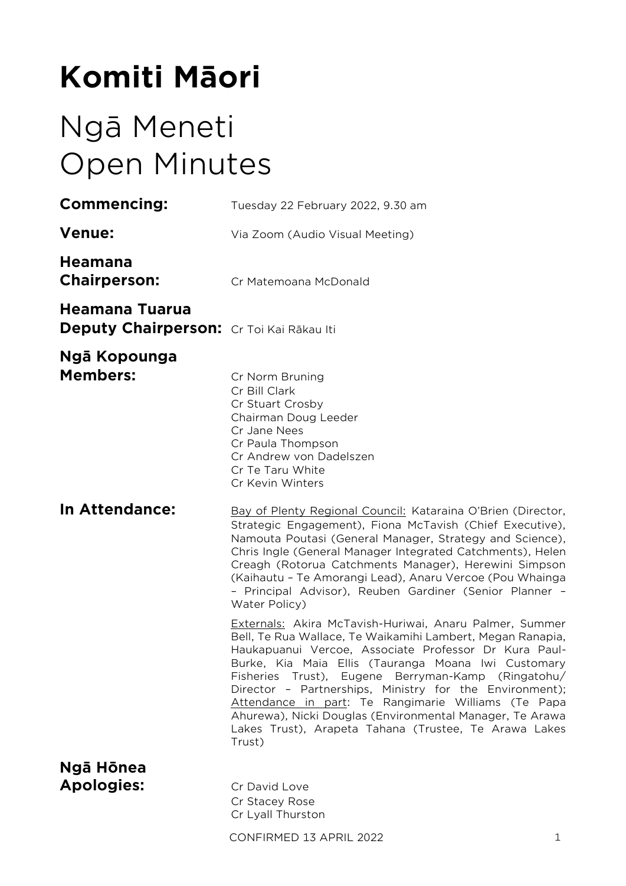# **Komiti Māori**

# Ngā Meneti Open Minutes

| <b>Commencing:</b>                                         | Tuesday 22 February 2022, 9.30 am                                                                                                                                                                                                                                                                                                                                                                                                                                                                                                            |
|------------------------------------------------------------|----------------------------------------------------------------------------------------------------------------------------------------------------------------------------------------------------------------------------------------------------------------------------------------------------------------------------------------------------------------------------------------------------------------------------------------------------------------------------------------------------------------------------------------------|
| <b>Venue:</b>                                              | Via Zoom (Audio Visual Meeting)                                                                                                                                                                                                                                                                                                                                                                                                                                                                                                              |
| <b>Heamana</b><br><b>Chairperson:</b>                      | Cr Matemoana McDonald                                                                                                                                                                                                                                                                                                                                                                                                                                                                                                                        |
| Heamana Tuarua<br>Deputy Chairperson: Cr Toi Kai Rākau Iti |                                                                                                                                                                                                                                                                                                                                                                                                                                                                                                                                              |
| Ngā Kopounga<br><b>Members:</b>                            | Cr Norm Bruning<br>Cr Bill Clark<br>Cr Stuart Crosby<br>Chairman Doug Leeder<br>Cr Jane Nees<br>Cr Paula Thompson<br>Cr Andrew von Dadelszen<br>Cr Te Taru White<br>Cr Kevin Winters                                                                                                                                                                                                                                                                                                                                                         |
| In Attendance:                                             | Bay of Plenty Regional Council: Kataraina O'Brien (Director,<br>Strategic Engagement), Fiona McTavish (Chief Executive),<br>Namouta Poutasi (General Manager, Strategy and Science),<br>Chris Ingle (General Manager Integrated Catchments), Helen<br>Creagh (Rotorua Catchments Manager), Herewini Simpson<br>(Kaihautu - Te Amorangi Lead), Anaru Vercoe (Pou Whainga<br>- Principal Advisor), Reuben Gardiner (Senior Planner -<br>Water Policy)                                                                                          |
|                                                            | Externals: Akira McTavish-Huriwai, Anaru Palmer, Summer<br>Bell, Te Rua Wallace, Te Waikamihi Lambert, Megan Ranapia,<br>Haukapuanui Vercoe, Associate Professor Dr Kura Paul-<br>Burke, Kia Maia Ellis (Tauranga Moana Iwi Customary<br>Fisheries Trust), Eugene Berryman-Kamp (Ringatohu/<br>Director - Partnerships, Ministry for the Environment);<br>Attendance in part: Te Rangimarie Williams (Te Papa<br>Ahurewa), Nicki Douglas (Environmental Manager, Te Arawa<br>Lakes Trust), Arapeta Tahana (Trustee, Te Arawa Lakes<br>Trust) |
| Ngā Hōnea<br><b>Apologies:</b>                             | Cr David Love<br>Cr Stacey Rose<br>Cr Lyall Thurston                                                                                                                                                                                                                                                                                                                                                                                                                                                                                         |
|                                                            | CONFIRMED 13 APRIL 2022<br>1                                                                                                                                                                                                                                                                                                                                                                                                                                                                                                                 |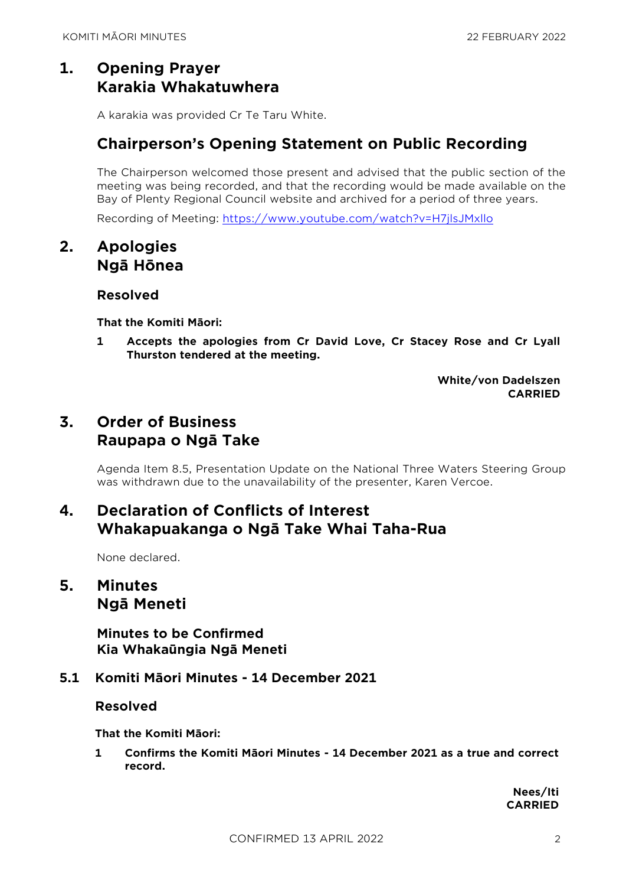# **1. Opening Prayer Karakia Whakatuwhera**

A karakia was provided Cr Te Taru White.

# **Chairperson's Opening Statement on Public Recording**

The Chairperson welcomed those present and advised that the public section of the meeting was being recorded, and that the recording would be made available on the Bay of Plenty Regional Council website and archived for a period of three years.

Recording of Meeting:<https://www.youtube.com/watch?v=H7jlsJMxllo>

# **2. Apologies Ngā Hōnea**

## **Resolved**

**That the Komiti Māori:**

**1 Accepts the apologies from Cr David Love, Cr Stacey Rose and Cr Lyall Thurston tendered at the meeting.**

> **White/von Dadelszen CARRIED**

# **3. Order of Business Raupapa o Ngā Take**

Agenda Item 8.5, Presentation Update on the National Three Waters Steering Group was withdrawn due to the unavailability of the presenter, Karen Vercoe.

# **4. Declaration of Conflicts of Interest Whakapuakanga o Ngā Take Whai Taha-Rua**

None declared.

# **5. Minutes Ngā Meneti**

**Minutes to be Confirmed Kia Whakaūngia Ngā Meneti**

## **5.1 Komiti Māori Minutes - 14 December 2021**

## **Resolved**

**That the Komiti Māori:**

**1 Confirms the Komiti Māori Minutes - 14 December 2021 as a true and correct record.**

> **Nees/Iti CARRIED**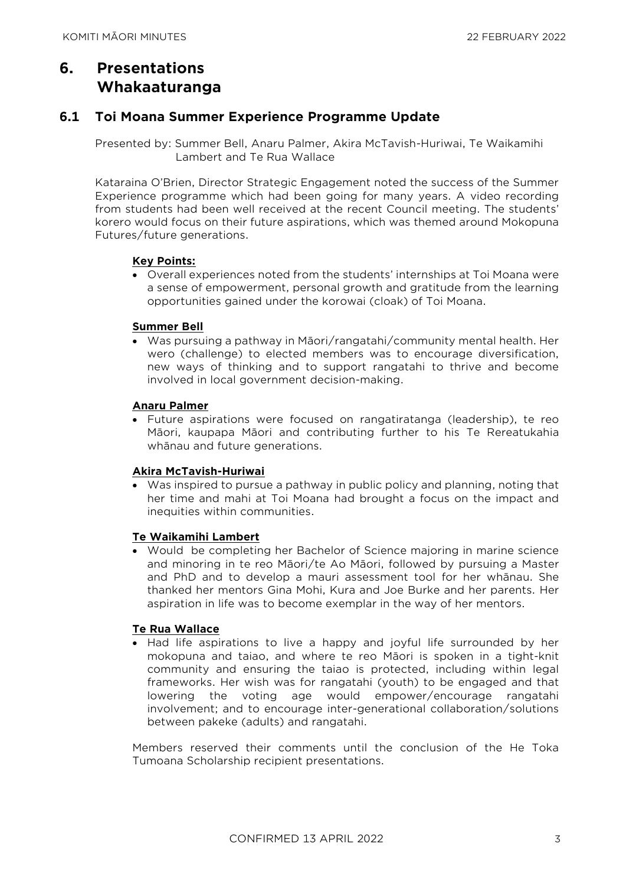# **6. Presentations Whakaaturanga**

## **6.1 Toi Moana Summer Experience Programme Update**

Presented by: Summer Bell, Anaru Palmer, Akira McTavish-Huriwai, Te Waikamihi Lambert and Te Rua Wallace

Kataraina O'Brien, Director Strategic Engagement noted the success of the Summer Experience programme which had been going for many years. A video recording from students had been well received at the recent Council meeting. The students' korero would focus on their future aspirations, which was themed around Mokopuna Futures/future generations.

#### **Key Points:**

• Overall experiences noted from the students' internships at Toi Moana were a sense of empowerment, personal growth and gratitude from the learning opportunities gained under the korowai (cloak) of Toi Moana.

#### **Summer Bell**

• Was pursuing a pathway in Māori/rangatahi/community mental health. Her wero (challenge) to elected members was to encourage diversification, new ways of thinking and to support rangatahi to thrive and become involved in local government decision-making.

#### **Anaru Palmer**

• Future aspirations were focused on rangatiratanga (leadership), te reo Māori, kaupapa Māori and contributing further to his Te Rereatukahia whānau and future generations.

#### **Akira McTavish-Huriwai**

• Was inspired to pursue a pathway in public policy and planning, noting that her time and mahi at Toi Moana had brought a focus on the impact and inequities within communities.

#### **Te Waikamihi Lambert**

• Would be completing her Bachelor of Science majoring in marine science and minoring in te reo Māori/te Ao Māori, followed by pursuing a Master and PhD and to develop a mauri assessment tool for her whānau. She thanked her mentors Gina Mohi, Kura and Joe Burke and her parents. Her aspiration in life was to become exemplar in the way of her mentors.

#### **Te Rua Wallace**

• Had life aspirations to live a happy and joyful life surrounded by her mokopuna and taiao, and where te reo Māori is spoken in a tight-knit community and ensuring the taiao is protected, including within legal frameworks. Her wish was for rangatahi (youth) to be engaged and that lowering the voting age would empower/encourage rangatahi involvement; and to encourage inter-generational collaboration/solutions between pakeke (adults) and rangatahi.

Members reserved their comments until the conclusion of the He Toka Tumoana Scholarship recipient presentations.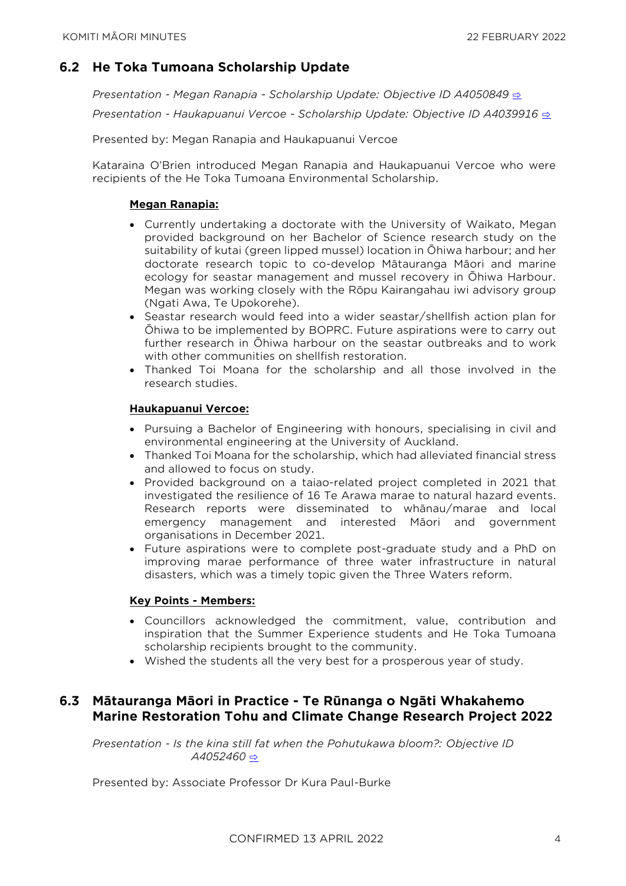# **6.2 He Toka Tumoana Scholarship Update**

*Presentation - Megan Ranapia - Scholarship Update: Objective ID A4050849* [⇨](../../../RedirectToInvalidFileName.aspx?FileName=KM_20220222_MAT_3478.PDF#PAGE=2) *Presentation - Haukapuanui Vercoe - Scholarship Update: Objective ID A4039916* [⇨](../../../RedirectToInvalidFileName.aspx?FileName=KM_20220222_MAT_3478.PDF#PAGE=8)

Presented by: Megan Ranapia and Haukapuanui Vercoe

Kataraina O'Brien introduced Megan Ranapia and Haukapuanui Vercoe who were recipients of the He Toka Tumoana Environmental Scholarship.

#### **Megan Ranapia:**

- Currently undertaking a doctorate with the University of Waikato, Megan provided background on her Bachelor of Science research study on the suitability of kutai (green lipped mussel) location in Ōhiwa harbour; and her doctorate research topic to co-develop Mātauranga Māori and marine ecology for seastar management and mussel recovery in Ōhiwa Harbour. Megan was working closely with the Rōpu Kairangahau iwi advisory group (Ngati Awa, Te Upokorehe).
- Seastar research would feed into a wider seastar/shellfish action plan for Ōhiwa to be implemented by BOPRC. Future aspirations were to carry out further research in Ōhiwa harbour on the seastar outbreaks and to work with other communities on shellfish restoration.
- Thanked Toi Moana for the scholarship and all those involved in the research studies.

#### **Haukapuanui Vercoe:**

- Pursuing a Bachelor of Engineering with honours, specialising in civil and environmental engineering at the University of Auckland.
- Thanked Toi Moana for the scholarship, which had alleviated financial stress and allowed to focus on study.
- Provided background on a taiao-related project completed in 2021 that investigated the resilience of 16 Te Arawa marae to natural hazard events. Research reports were disseminated to whānau/marae and local emergency management and interested Māori and government organisations in December 2021.
- Future aspirations were to complete post-graduate study and a PhD on improving marae performance of three water infrastructure in natural disasters, which was a timely topic given the Three Waters reform.

#### **Key Points - Members:**

- Councillors acknowledged the commitment, value, contribution and inspiration that the Summer Experience students and He Toka Tumoana scholarship recipients brought to the community.
- Wished the students all the very best for a prosperous year of study.

## **6.3 Mātauranga Māori in Practice - Te Rūnanga o Ngāti Whakahemo Marine Restoration Tohu and Climate Change Research Project 2022**

*Presentation - Is the kina still fat when the Pohutukawa bloom?: Objective ID A4052460* [⇨](../../../RedirectToInvalidFileName.aspx?FileName=KM_20220222_MAT_3478.PDF#PAGE=17)

Presented by: Associate Professor Dr Kura Paul-Burke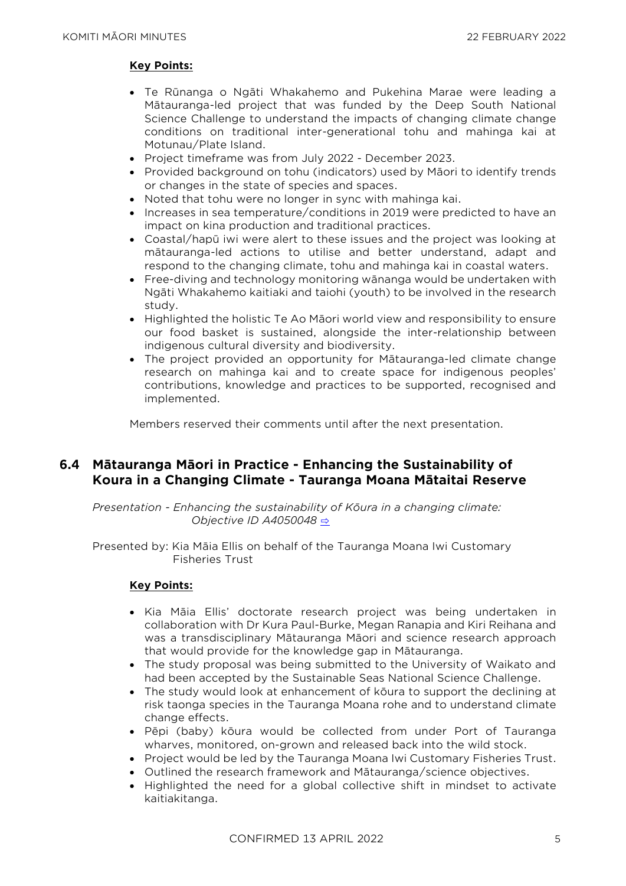#### **Key Points:**

- Te Rūnanga o Ngāti Whakahemo and Pukehina Marae were leading a Mātauranga-led project that was funded by the Deep South National Science Challenge to understand the impacts of changing climate change conditions on traditional inter-generational tohu and mahinga kai at Motunau/Plate Island.
- Project timeframe was from July 2022 December 2023.
- Provided background on tohu (indicators) used by Māori to identify trends or changes in the state of species and spaces.
- Noted that tohu were no longer in sync with mahinga kai.
- Increases in sea temperature/conditions in 2019 were predicted to have an impact on kina production and traditional practices.
- Coastal/hapū iwi were alert to these issues and the project was looking at mātauranga-led actions to utilise and better understand, adapt and respond to the changing climate, tohu and mahinga kai in coastal waters.
- Free-diving and technology monitoring wānanga would be undertaken with Ngāti Whakahemo kaitiaki and taiohi (youth) to be involved in the research study.
- Highlighted the holistic Te Ao Māori world view and responsibility to ensure our food basket is sustained, alongside the inter-relationship between indigenous cultural diversity and biodiversity.
- The project provided an opportunity for Mātauranga-led climate change research on mahinga kai and to create space for indigenous peoples' contributions, knowledge and practices to be supported, recognised and implemented.

Members reserved their comments until after the next presentation.

## **6.4 Mātauranga Māori in Practice - Enhancing the Sustainability of Koura in a Changing Climate - Tauranga Moana Mātaitai Reserve**

*Presentation - Enhancing the sustainability of Kōura in a changing climate: Objective ID A4050048* [⇨](../../../RedirectToInvalidFileName.aspx?FileName=KM_20220222_MAT_3478.PDF#PAGE=33)

Presented by: Kia Māia Ellis on behalf of the Tauranga Moana Iwi Customary Fisheries Trust

#### **Key Points:**

- Kia Māia Ellis' doctorate research project was being undertaken in collaboration with Dr Kura Paul-Burke, Megan Ranapia and Kiri Reihana and was a transdisciplinary Mātauranga Māori and science research approach that would provide for the knowledge gap in Mātauranga.
- The study proposal was being submitted to the University of Waikato and had been accepted by the Sustainable Seas National Science Challenge.
- The study would look at enhancement of kōura to support the declining at risk taonga species in the Tauranga Moana rohe and to understand climate change effects.
- Pēpi (baby) kōura would be collected from under Port of Tauranga wharves, monitored, on-grown and released back into the wild stock.
- Project would be led by the Tauranga Moana Iwi Customary Fisheries Trust.
- Outlined the research framework and Mātauranga/science objectives.
- Highlighted the need for a global collective shift in mindset to activate kaitiakitanga.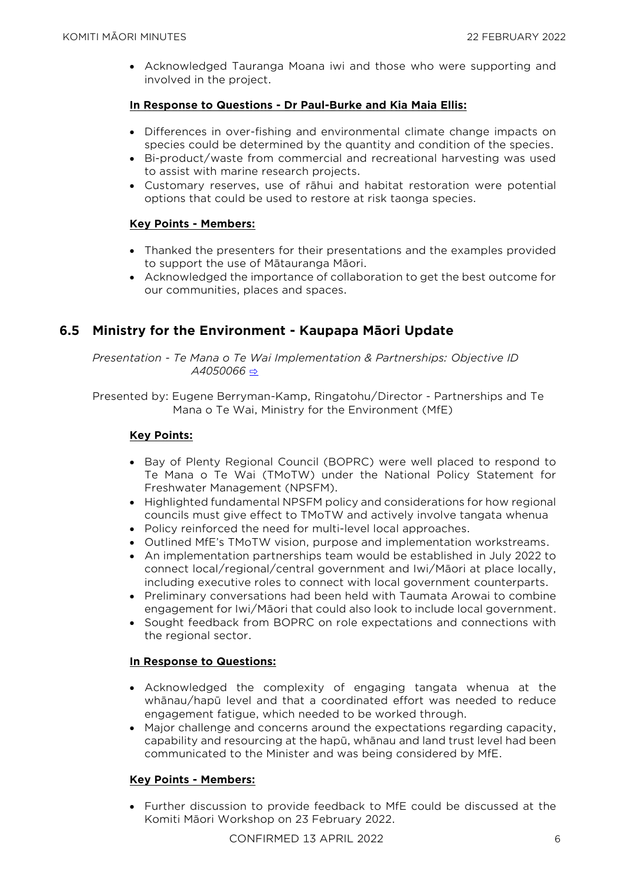• Acknowledged Tauranga Moana iwi and those who were supporting and involved in the project.

#### **In Response to Questions - Dr Paul-Burke and Kia Maia Ellis:**

- Differences in over-fishing and environmental climate change impacts on species could be determined by the quantity and condition of the species.
- Bi-product/waste from commercial and recreational harvesting was used to assist with marine research projects.
- Customary reserves, use of rāhui and habitat restoration were potential options that could be used to restore at risk taonga species.

#### **Key Points - Members:**

- Thanked the presenters for their presentations and the examples provided to support the use of Mātauranga Māori.
- Acknowledged the importance of collaboration to get the best outcome for our communities, places and spaces.

# **6.5 Ministry for the Environment - Kaupapa Māori Update**

*Presentation - Te Mana o Te Wai Implementation & Partnerships: Objective ID A4050066* [⇨](../../../RedirectToInvalidFileName.aspx?FileName=KM_20220222_MAT_3478.PDF#PAGE=47)

Presented by: Eugene Berryman-Kamp, Ringatohu/Director - Partnerships and Te Mana o Te Wai, Ministry for the Environment (MfE)

#### **Key Points:**

- Bay of Plenty Regional Council (BOPRC) were well placed to respond to Te Mana o Te Wai (TMoTW) under the National Policy Statement for Freshwater Management (NPSFM).
- Highlighted fundamental NPSFM policy and considerations for how regional councils must give effect to TMoTW and actively involve tangata whenua
- Policy reinforced the need for multi-level local approaches.
- Outlined MfE's TMoTW vision, purpose and implementation workstreams.
- An implementation partnerships team would be established in July 2022 to connect local/regional/central government and Iwi/Māori at place locally, including executive roles to connect with local government counterparts.
- Preliminary conversations had been held with Taumata Arowai to combine engagement for Iwi/Māori that could also look to include local government.
- Sought feedback from BOPRC on role expectations and connections with the regional sector.

#### **In Response to Questions:**

- Acknowledged the complexity of engaging tangata whenua at the whānau/hapū level and that a coordinated effort was needed to reduce engagement fatigue, which needed to be worked through.
- Major challenge and concerns around the expectations regarding capacity, capability and resourcing at the hapū, whānau and land trust level had been communicated to the Minister and was being considered by MfE.

#### **Key Points - Members:**

• Further discussion to provide feedback to MfE could be discussed at the Komiti Māori Workshop on 23 February 2022.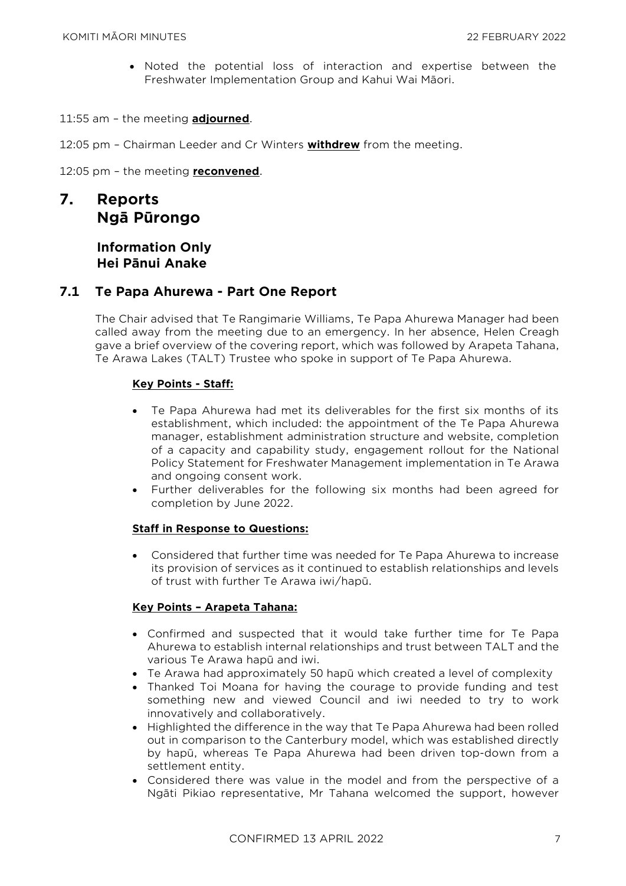• Noted the potential loss of interaction and expertise between the Freshwater Implementation Group and Kahui Wai Māori.

11:55 am – the meeting **adjourned**.

12:05 pm – Chairman Leeder and Cr Winters **withdrew** from the meeting.

12:05 pm – the meeting **reconvened**.

# **7. Reports Ngā Pūrongo**

# **Information Only Hei Pānui Anake**

#### **7.1 Te Papa Ahurewa - Part One Report**

The Chair advised that Te Rangimarie Williams, Te Papa Ahurewa Manager had been called away from the meeting due to an emergency. In her absence, Helen Creagh gave a brief overview of the covering report, which was followed by Arapeta Tahana, Te Arawa Lakes (TALT) Trustee who spoke in support of Te Papa Ahurewa.

#### **Key Points - Staff:**

- Te Papa Ahurewa had met its deliverables for the first six months of its establishment, which included: the appointment of the Te Papa Ahurewa manager, establishment administration structure and website, completion of a capacity and capability study, engagement rollout for the National Policy Statement for Freshwater Management implementation in Te Arawa and ongoing consent work.
- Further deliverables for the following six months had been agreed for completion by June 2022.

#### **Staff in Response to Questions:**

• Considered that further time was needed for Te Papa Ahurewa to increase its provision of services as it continued to establish relationships and levels of trust with further Te Arawa iwi/hapū.

#### **Key Points – Arapeta Tahana:**

- Confirmed and suspected that it would take further time for Te Papa Ahurewa to establish internal relationships and trust between TALT and the various Te Arawa hapū and iwi.
- Te Arawa had approximately 50 hapū which created a level of complexity
- Thanked Toi Moana for having the courage to provide funding and test something new and viewed Council and iwi needed to try to work innovatively and collaboratively.
- Highlighted the difference in the way that Te Papa Ahurewa had been rolled out in comparison to the Canterbury model, which was established directly by hapū, whereas Te Papa Ahurewa had been driven top-down from a settlement entity.
- Considered there was value in the model and from the perspective of a Ngāti Pikiao representative, Mr Tahana welcomed the support, however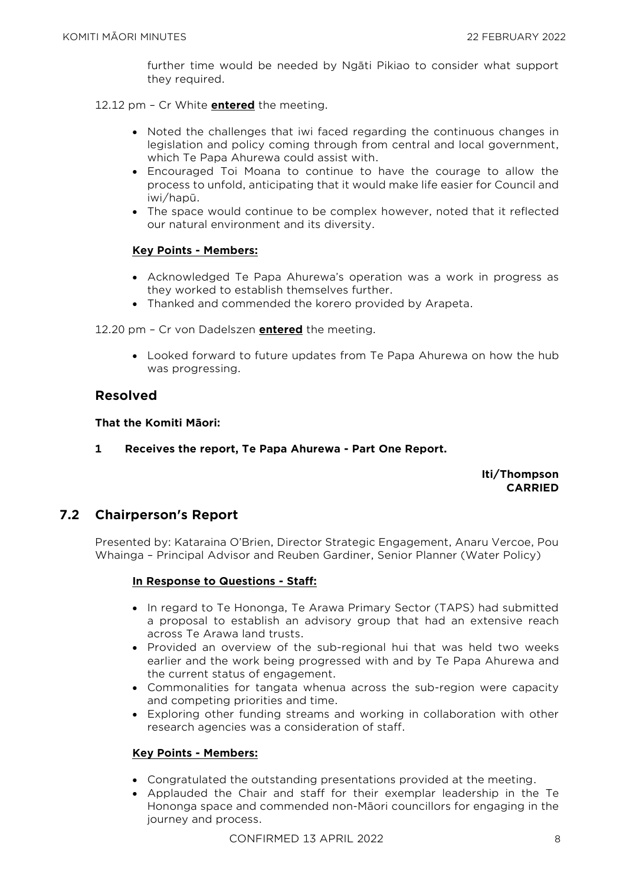further time would be needed by Ngāti Pikiao to consider what support they required.

12.12 pm – Cr White **entered** the meeting.

- Noted the challenges that iwi faced regarding the continuous changes in legislation and policy coming through from central and local government, which Te Papa Ahurewa could assist with.
- Encouraged Toi Moana to continue to have the courage to allow the process to unfold, anticipating that it would make life easier for Council and iwi/hapū.
- The space would continue to be complex however, noted that it reflected our natural environment and its diversity.

#### **Key Points - Members:**

- Acknowledged Te Papa Ahurewa's operation was a work in progress as they worked to establish themselves further.
- Thanked and commended the korero provided by Arapeta.

12.20 pm – Cr von Dadelszen **entered** the meeting.

• Looked forward to future updates from Te Papa Ahurewa on how the hub was progressing.

## **Resolved**

#### **That the Komiti Māori:**

**1 Receives the report, Te Papa Ahurewa - Part One Report.**

#### **Iti/Thompson CARRIED**

# **7.2 Chairperson's Report**

Presented by: Kataraina O'Brien, Director Strategic Engagement, Anaru Vercoe, Pou Whainga – Principal Advisor and Reuben Gardiner, Senior Planner (Water Policy)

#### **In Response to Questions - Staff:**

- In regard to Te Hononga, Te Arawa Primary Sector (TAPS) had submitted a proposal to establish an advisory group that had an extensive reach across Te Arawa land trusts.
- Provided an overview of the sub-regional hui that was held two weeks earlier and the work being progressed with and by Te Papa Ahurewa and the current status of engagement.
- Commonalities for tangata whenua across the sub-region were capacity and competing priorities and time.
- Exploring other funding streams and working in collaboration with other research agencies was a consideration of staff.

#### **Key Points - Members:**

- Congratulated the outstanding presentations provided at the meeting.
- Applauded the Chair and staff for their exemplar leadership in the Te Hononga space and commended non-Māori councillors for engaging in the journey and process.